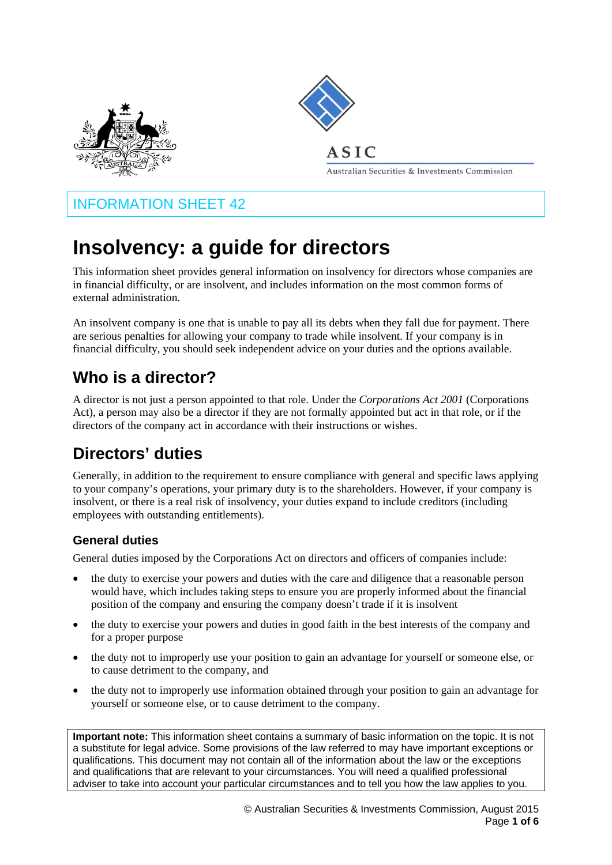



## ASIC

Australian Securities & Investments Commission

## INFORMATION SHEET 42

# **Insolvency: a guide for directors**

This information sheet provides general information on insolvency for directors whose companies are in financial difficulty, or are insolvent, and includes information on the most common forms of external administration.

An insolvent company is one that is unable to pay all its debts when they fall due for payment. There are serious penalties for allowing your company to trade while insolvent. If your company is in financial difficulty, you should seek independent advice on your duties and the options available.

# **Who is a director?**

A director is not just a person appointed to that role. Under the *Corporations Act 2001* (Corporations Act), a person may also be a director if they are not formally appointed but act in that role, or if the directors of the company act in accordance with their instructions or wishes.

# **Directors' duties**

Generally, in addition to the requirement to ensure compliance with general and specific laws applying to your company's operations, your primary duty is to the shareholders. However, if your company is insolvent, or there is a real risk of insolvency, your duties expand to include creditors (including employees with outstanding entitlements).

## **General duties**

General duties imposed by the Corporations Act on directors and officers of companies include:

- the duty to exercise your powers and duties with the care and diligence that a reasonable person would have, which includes taking steps to ensure you are properly informed about the financial position of the company and ensuring the company doesn't trade if it is insolvent
- the duty to exercise your powers and duties in good faith in the best interests of the company and for a proper purpose
- the duty not to improperly use your position to gain an advantage for yourself or someone else, or to cause detriment to the company, and
- the duty not to improperly use information obtained through your position to gain an advantage for yourself or someone else, or to cause detriment to the company.

**Important note:** This information sheet contains a summary of basic information on the topic. It is not a substitute for legal advice. Some provisions of the law referred to may have important exceptions or qualifications. This document may not contain all of the information about the law or the exceptions and qualifications that are relevant to your circumstances. You will need a qualified professional adviser to take into account your particular circumstances and to tell you how the law applies to you.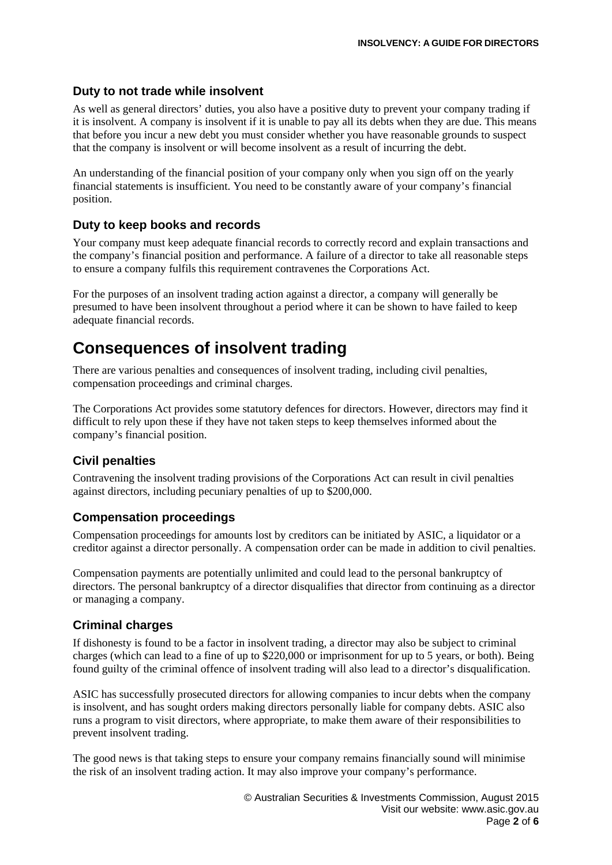### **Duty to not trade while insolvent**

As well as general directors' duties, you also have a positive duty to prevent your company trading if it is insolvent. A company is insolvent if it is unable to pay all its debts when they are due. This means that before you incur a new debt you must consider whether you have reasonable grounds to suspect that the company is insolvent or will become insolvent as a result of incurring the debt.

An understanding of the financial position of your company only when you sign off on the yearly financial statements is insufficient. You need to be constantly aware of your company's financial position.

### **Duty to keep books and records**

Your company must keep adequate financial records to correctly record and explain transactions and the company's financial position and performance. A failure of a director to take all reasonable steps to ensure a company fulfils this requirement contravenes the Corporations Act.

For the purposes of an insolvent trading action against a director, a company will generally be presumed to have been insolvent throughout a period where it can be shown to have failed to keep adequate financial records.

## **Consequences of insolvent trading**

There are various penalties and consequences of insolvent trading, including civil penalties, compensation proceedings and criminal charges.

The Corporations Act provides some statutory defences for directors. However, directors may find it difficult to rely upon these if they have not taken steps to keep themselves informed about the company's financial position.

#### **Civil penalties**

Contravening the insolvent trading provisions of the Corporations Act can result in civil penalties against directors, including pecuniary penalties of up to \$200,000.

## **Compensation proceedings**

Compensation proceedings for amounts lost by creditors can be initiated by ASIC, a liquidator or a creditor against a director personally. A compensation order can be made in addition to civil penalties.

Compensation payments are potentially unlimited and could lead to the personal bankruptcy of directors. The personal bankruptcy of a director disqualifies that director from continuing as a director or managing a company.

#### **Criminal charges**

If dishonesty is found to be a factor in insolvent trading, a director may also be subject to criminal charges (which can lead to a fine of up to \$220,000 or imprisonment for up to 5 years, or both). Being found guilty of the criminal offence of insolvent trading will also lead to a director's disqualification.

ASIC has successfully prosecuted directors for allowing companies to incur debts when the company is insolvent, and has sought orders making directors personally liable for company debts. ASIC also runs a program to visit directors, where appropriate, to make them aware of their responsibilities to prevent insolvent trading.

The good news is that taking steps to ensure your company remains financially sound will minimise the risk of an insolvent trading action. It may also improve your company's performance.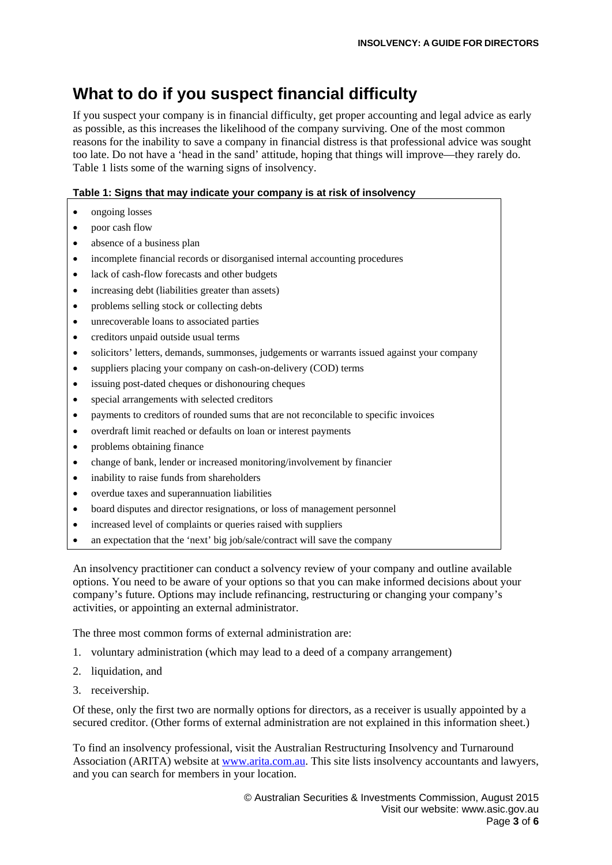# **What to do if you suspect financial difficulty**

If you suspect your company is in financial difficulty, get proper accounting and legal advice as early as possible, as this increases the likelihood of the company surviving. One of the most common reasons for the inability to save a company in financial distress is that professional advice was sought too late. Do not have a 'head in the sand' attitude, hoping that things will improve—they rarely do. Table 1 lists some of the warning signs of insolvency.

#### **Table 1: Signs that may indicate your company is at risk of insolvency**

- ongoing losses
- poor cash flow
- absence of a business plan
- incomplete financial records or disorganised internal accounting procedures
- lack of cash-flow forecasts and other budgets
- increasing debt (liabilities greater than assets)
- problems selling stock or collecting debts
- unrecoverable loans to associated parties
- creditors unpaid outside usual terms
- solicitors' letters, demands, summonses, judgements or warrants issued against your company
- suppliers placing your company on cash-on-delivery (COD) terms
- issuing post-dated cheques or dishonouring cheques
- special arrangements with selected creditors
- payments to creditors of rounded sums that are not reconcilable to specific invoices
- overdraft limit reached or defaults on loan or interest payments
- problems obtaining finance
- change of bank, lender or increased monitoring/involvement by financier
- inability to raise funds from shareholders
- overdue taxes and superannuation liabilities
- board disputes and director resignations, or loss of management personnel
- increased level of complaints or queries raised with suppliers
- an expectation that the 'next' big job/sale/contract will save the company

An insolvency practitioner can conduct a solvency review of your company and outline available options. You need to be aware of your options so that you can make informed decisions about your company's future. Options may include refinancing, restructuring or changing your company's activities, or appointing an external administrator.

The three most common forms of external administration are:

- 1. voluntary administration (which may lead to a deed of a company arrangement)
- 2. liquidation, and
- 3. receivership.

Of these, only the first two are normally options for directors, as a receiver is usually appointed by a secured creditor. (Other forms of external administration are not explained in this information sheet.)

To find an insolvency professional, visit the Australian Restructuring Insolvency and Turnaround Association (ARITA) website at www.arita.com.au. This site lists insolvency accountants and lawyers, and you can search for members in your location.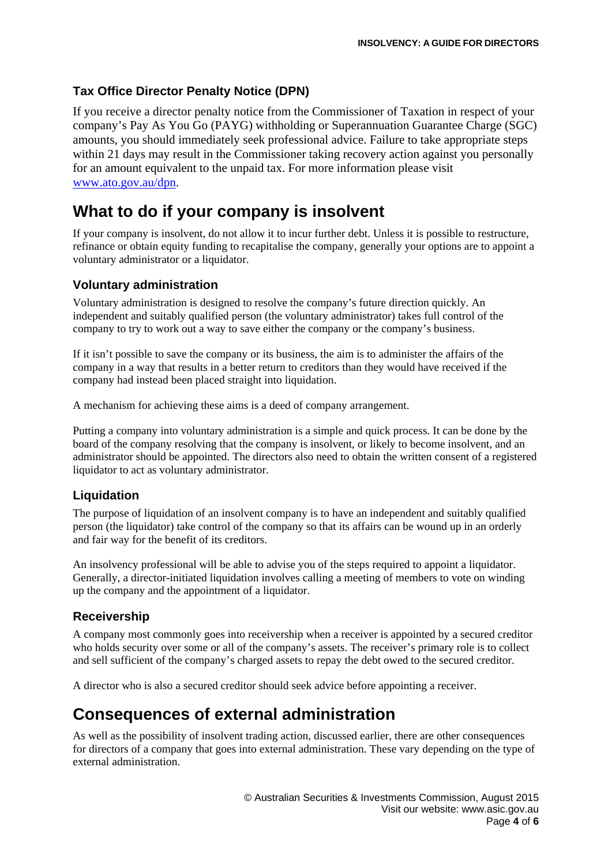## **Tax Office Director Penalty Notice (DPN)**

If you receive a director penalty notice from the Commissioner of Taxation in respect of your company's Pay As You Go (PAYG) withholding or Superannuation Guarantee Charge (SGC) amounts, you should immediately seek professional advice. Failure to take appropriate steps within 21 days may result in the Commissioner taking recovery action against you personally for an amount equivalent to the unpaid tax. For more information please visit www.ato.gov.au/dpn.

## **What to do if your company is insolvent**

If your company is insolvent, do not allow it to incur further debt. Unless it is possible to restructure, refinance or obtain equity funding to recapitalise the company, generally your options are to appoint a voluntary administrator or a liquidator.

## **Voluntary administration**

Voluntary administration is designed to resolve the company's future direction quickly. An independent and suitably qualified person (the voluntary administrator) takes full control of the company to try to work out a way to save either the company or the company's business.

If it isn't possible to save the company or its business, the aim is to administer the affairs of the company in a way that results in a better return to creditors than they would have received if the company had instead been placed straight into liquidation.

A mechanism for achieving these aims is a deed of company arrangement.

Putting a company into voluntary administration is a simple and quick process. It can be done by the board of the company resolving that the company is insolvent, or likely to become insolvent, and an administrator should be appointed. The directors also need to obtain the written consent of a registered liquidator to act as voluntary administrator.

## **Liquidation**

The purpose of liquidation of an insolvent company is to have an independent and suitably qualified person (the liquidator) take control of the company so that its affairs can be wound up in an orderly and fair way for the benefit of its creditors.

An insolvency professional will be able to advise you of the steps required to appoint a liquidator. Generally, a director-initiated liquidation involves calling a meeting of members to vote on winding up the company and the appointment of a liquidator.

## **Receivership**

A company most commonly goes into receivership when a receiver is appointed by a secured creditor who holds security over some or all of the company's assets. The receiver's primary role is to collect and sell sufficient of the company's charged assets to repay the debt owed to the secured creditor.

A director who is also a secured creditor should seek advice before appointing a receiver.

## **Consequences of external administration**

As well as the possibility of insolvent trading action, discussed earlier, there are other consequences for directors of a company that goes into external administration. These vary depending on the type of external administration.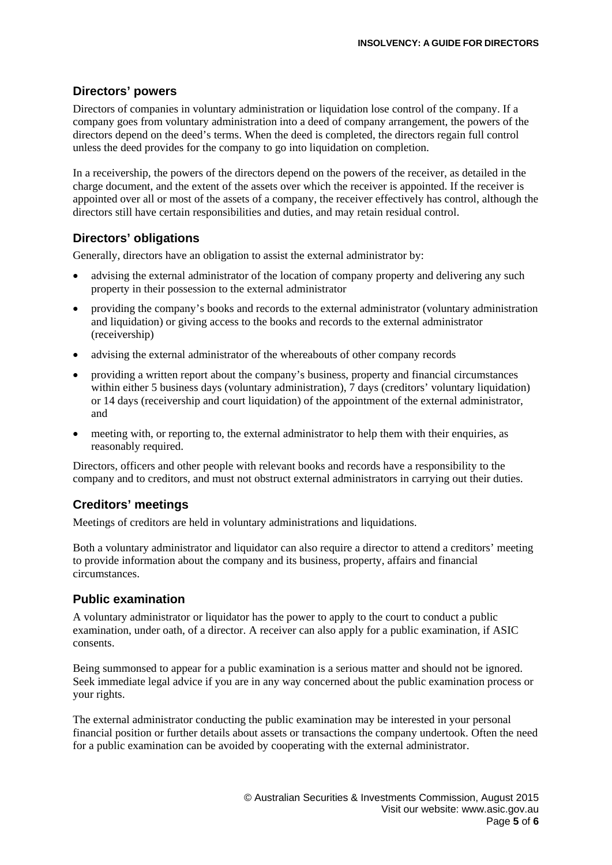## **Directors' powers**

Directors of companies in voluntary administration or liquidation lose control of the company. If a company goes from voluntary administration into a deed of company arrangement, the powers of the directors depend on the deed's terms. When the deed is completed, the directors regain full control unless the deed provides for the company to go into liquidation on completion.

In a receivership, the powers of the directors depend on the powers of the receiver, as detailed in the charge document, and the extent of the assets over which the receiver is appointed. If the receiver is appointed over all or most of the assets of a company, the receiver effectively has control, although the directors still have certain responsibilities and duties, and may retain residual control.

## **Directors' obligations**

Generally, directors have an obligation to assist the external administrator by:

- advising the external administrator of the location of company property and delivering any such property in their possession to the external administrator
- providing the company's books and records to the external administrator (voluntary administration and liquidation) or giving access to the books and records to the external administrator (receivership)
- advising the external administrator of the whereabouts of other company records
- providing a written report about the company's business, property and financial circumstances within either 5 business days (voluntary administration), 7 days (creditors' voluntary liquidation) or 14 days (receivership and court liquidation) of the appointment of the external administrator, and
- meeting with, or reporting to, the external administrator to help them with their enquiries, as reasonably required.

Directors, officers and other people with relevant books and records have a responsibility to the company and to creditors, and must not obstruct external administrators in carrying out their duties.

## **Creditors' meetings**

Meetings of creditors are held in voluntary administrations and liquidations.

Both a voluntary administrator and liquidator can also require a director to attend a creditors' meeting to provide information about the company and its business, property, affairs and financial circumstances.

#### **Public examination**

A voluntary administrator or liquidator has the power to apply to the court to conduct a public examination, under oath, of a director. A receiver can also apply for a public examination, if ASIC consents.

Being summonsed to appear for a public examination is a serious matter and should not be ignored. Seek immediate legal advice if you are in any way concerned about the public examination process or your rights.

The external administrator conducting the public examination may be interested in your personal financial position or further details about assets or transactions the company undertook. Often the need for a public examination can be avoided by cooperating with the external administrator.